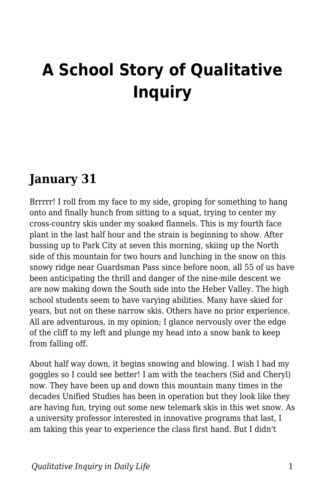# **A School Story of Qualitative Inquiry**

### **January 31**

Brrrrr! I roll from my face to my side, groping for something to hang onto and finally hunch from sitting to a squat, trying to center my cross-country skis under my soaked flannels. This is my fourth face plant in the last half hour and the strain is beginning to show. After bussing up to Park City at seven this morning, skiing up the North side of this mountain for two hours and lunching in the snow on this snowy ridge near Guardsman Pass since before noon, all 55 of us have been anticipating the thrill and danger of the nine-mile descent we are now making down the South side into the Heber Valley. The high school students seem to have varying abilities. Many have skied for years, but not on these narrow skis. Others have no prior experience. All are adventurous, in my opinion; I glance nervously over the edge of the cliff to my left and plunge my head into a snow bank to keep from falling off.

About half way down, it begins snowing and blowing. I wish I had my goggles so I could see better! I am with the teachers (Sid and Cheryl) now. They have been up and down this mountain many times in the decades Unified Studies has been in operation but they look like they are having fun, trying out some new telemark skis in this wet snow. As a university professor interested in innovative programs that last, I am taking this year to experience the class first hand. But I didn't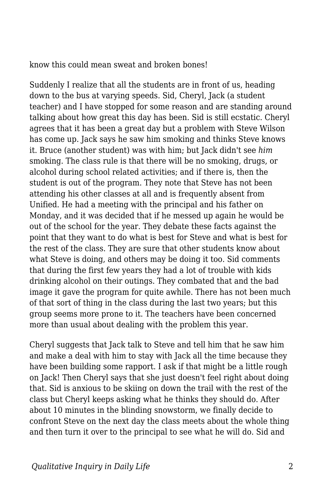know this could mean sweat and broken bones!

Suddenly I realize that all the students are in front of us, heading down to the bus at varying speeds. Sid, Cheryl, Jack (a student teacher) and I have stopped for some reason and are standing around talking about how great this day has been. Sid is still ecstatic. Cheryl agrees that it has been a great day but a problem with Steve Wilson has come up. Jack says he saw him smoking and thinks Steve knows it. Bruce (another student) was with him; but Jack didn't see *him* smoking. The class rule is that there will be no smoking, drugs, or alcohol during school related activities; and if there is, then the student is out of the program. They note that Steve has not been attending his other classes at all and is frequently absent from Unified. He had a meeting with the principal and his father on Monday, and it was decided that if he messed up again he would be out of the school for the year. They debate these facts against the point that they want to do what is best for Steve and what is best for the rest of the class. They are sure that other students know about what Steve is doing, and others may be doing it too. Sid comments that during the first few years they had a lot of trouble with kids drinking alcohol on their outings. They combated that and the bad image it gave the program for quite awhile. There has not been much of that sort of thing in the class during the last two years; but this group seems more prone to it. The teachers have been concerned more than usual about dealing with the problem this year.

Cheryl suggests that Jack talk to Steve and tell him that he saw him and make a deal with him to stay with Jack all the time because they have been building some rapport. I ask if that might be a little rough on Jack! Then Cheryl says that she just doesn't feel right about doing that. Sid is anxious to be skiing on down the trail with the rest of the class but Cheryl keeps asking what he thinks they should do. After about 10 minutes in the blinding snowstorm, we finally decide to confront Steve on the next day the class meets about the whole thing and then turn it over to the principal to see what he will do. Sid and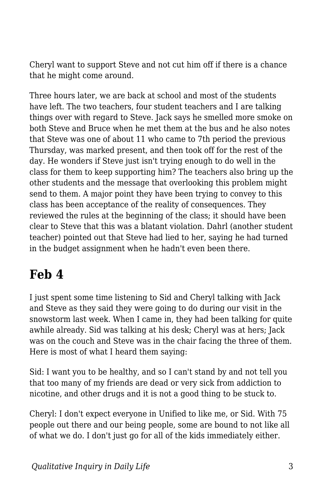Cheryl want to support Steve and not cut him off if there is a chance that he might come around.

Three hours later, we are back at school and most of the students have left. The two teachers, four student teachers and I are talking things over with regard to Steve. Jack says he smelled more smoke on both Steve and Bruce when he met them at the bus and he also notes that Steve was one of about 11 who came to 7th period the previous Thursday, was marked present, and then took off for the rest of the day. He wonders if Steve just isn't trying enough to do well in the class for them to keep supporting him? The teachers also bring up the other students and the message that overlooking this problem might send to them. A major point they have been trying to convey to this class has been acceptance of the reality of consequences. They reviewed the rules at the beginning of the class; it should have been clear to Steve that this was a blatant violation. Dahrl (another student teacher) pointed out that Steve had lied to her, saying he had turned in the budget assignment when he hadn't even been there.

#### **Feb 4**

I just spent some time listening to Sid and Cheryl talking with Jack and Steve as they said they were going to do during our visit in the snowstorm last week. When I came in, they had been talking for quite awhile already. Sid was talking at his desk; Cheryl was at hers; Jack was on the couch and Steve was in the chair facing the three of them. Here is most of what I heard them saying:

Sid: I want you to be healthy, and so I can't stand by and not tell you that too many of my friends are dead or very sick from addiction to nicotine, and other drugs and it is not a good thing to be stuck to.

Cheryl: I don't expect everyone in Unified to like me, or Sid. With 75 people out there and our being people, some are bound to not like all of what we do. I don't just go for all of the kids immediately either.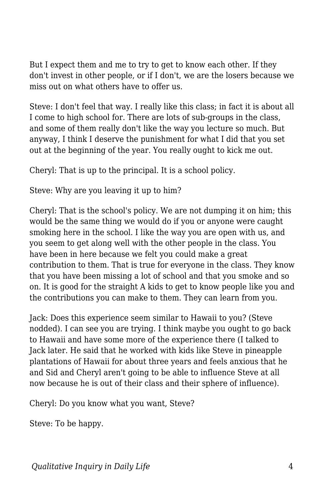But I expect them and me to try to get to know each other. If they don't invest in other people, or if I don't, we are the losers because we miss out on what others have to offer us.

Steve: I don't feel that way. I really like this class; in fact it is about all I come to high school for. There are lots of sub-groups in the class, and some of them really don't like the way you lecture so much. But anyway, I think I deserve the punishment for what I did that you set out at the beginning of the year. You really ought to kick me out.

Cheryl: That is up to the principal. It is a school policy.

Steve: Why are you leaving it up to him?

Cheryl: That is the school's policy. We are not dumping it on him; this would be the same thing we would do if you or anyone were caught smoking here in the school. I like the way you are open with us, and you seem to get along well with the other people in the class. You have been in here because we felt you could make a great contribution to them. That is true for everyone in the class. They know that you have been missing a lot of school and that you smoke and so on. It is good for the straight A kids to get to know people like you and the contributions you can make to them. They can learn from you.

Jack: Does this experience seem similar to Hawaii to you? (Steve nodded). I can see you are trying. I think maybe you ought to go back to Hawaii and have some more of the experience there (I talked to Jack later. He said that he worked with kids like Steve in pineapple plantations of Hawaii for about three years and feels anxious that he and Sid and Cheryl aren't going to be able to influence Steve at all now because he is out of their class and their sphere of influence).

Cheryl: Do you know what you want, Steve?

Steve: To be happy.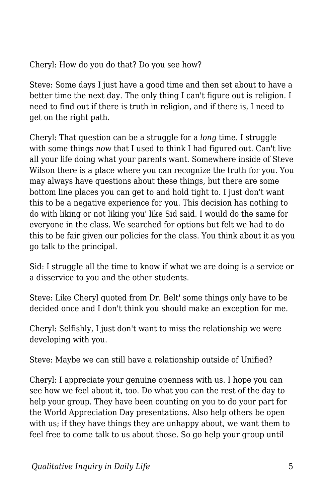Cheryl: How do you do that? Do you see how?

Steve: Some days I just have a good time and then set about to have a better time the next day. The only thing I can't figure out is religion. I need to find out if there is truth in religion, and if there is, I need to get on the right path.

Cheryl: That question can be a struggle for a *long* time. I struggle with some things *now* that I used to think I had figured out. Can't live all your life doing what your parents want. Somewhere inside of Steve Wilson there is a place where you can recognize the truth for you. You may always have questions about these things, but there are some bottom line places you can get to and hold tight to. I just don't want this to be a negative experience for you. This decision has nothing to do with liking or not liking you' like Sid said. I would do the same for everyone in the class. We searched for options but felt we had to do this to be fair given our policies for the class. You think about it as you go talk to the principal.

Sid: I struggle all the time to know if what we are doing is a service or a disservice to you and the other students.

Steve: Like Cheryl quoted from Dr. Belt' some things only have to be decided once and I don't think you should make an exception for me.

Cheryl: Selfishly, I just don't want to miss the relationship we were developing with you.

Steve: Maybe we can still have a relationship outside of Unified?

Cheryl: I appreciate your genuine openness with us. I hope you can see how we feel about it, too. Do what you can the rest of the day to help your group. They have been counting on you to do your part for the World Appreciation Day presentations. Also help others be open with us; if they have things they are unhappy about, we want them to feel free to come talk to us about those. So go help your group until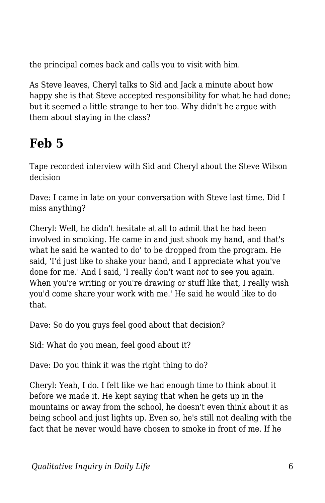the principal comes back and calls you to visit with him.

As Steve leaves, Cheryl talks to Sid and Jack a minute about how happy she is that Steve accepted responsibility for what he had done; but it seemed a little strange to her too. Why didn't he argue with them about staying in the class?

## **Feb 5**

Tape recorded interview with Sid and Cheryl about the Steve Wilson decision

Dave: I came in late on your conversation with Steve last time. Did I miss anything?

Cheryl: Well, he didn't hesitate at all to admit that he had been involved in smoking. He came in and just shook my hand, and that's what he said he wanted to do' to be dropped from the program. He said, 'I'd just like to shake your hand, and I appreciate what you've done for me.' And I said, 'I really don't want *not* to see you again. When you're writing or you're drawing or stuff like that, I really wish you'd come share your work with me.' He said he would like to do that.

Dave: So do you guys feel good about that decision?

Sid: What do you mean, feel good about it?

Dave: Do you think it was the right thing to do?

Cheryl: Yeah, I do. I felt like we had enough time to think about it before we made it. He kept saying that when he gets up in the mountains or away from the school, he doesn't even think about it as being school and just lights up. Even so, he's still not dealing with the fact that he never would have chosen to smoke in front of me. If he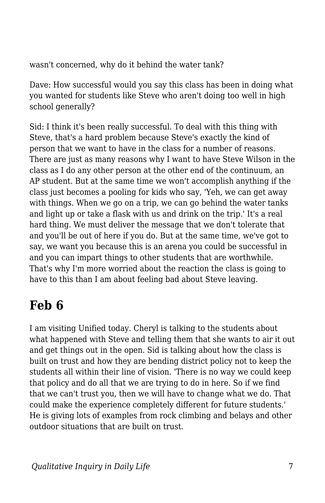wasn't concerned, why do it behind the water tank?

Dave: How successful would you say this class has been in doing what you wanted for students like Steve who aren't doing too well in high school generally?

Sid: I think it's been really successful. To deal with this thing with Steve, that's a hard problem because Steve's exactly the kind of person that we want to have in the class for a number of reasons. There are just as many reasons why I want to have Steve Wilson in the class as I do any other person at the other end of the continuum, an AP student. But at the same time we won't accomplish anything if the class just becomes a pooling for kids who say, 'Yeh, we can get away with things. When we go on a trip, we can go behind the water tanks and light up or take a flask with us and drink on the trip.' It's a real hard thing. We must deliver the message that we don't tolerate that and you'll be out of here if you do. But at the same time, we've got to say, we want you because this is an arena you could be successful in and you can impart things to other students that are worthwhile. That's why I'm more worried about the reaction the class is going to have to this than I am about feeling bad about Steve leaving.

## **Feb 6**

I am visiting Unified today. Cheryl is talking to the students about what happened with Steve and telling them that she wants to air it out and get things out in the open. Sid is talking about how the class is built on trust and how they are bending district policy not to keep the students all within their line of vision. 'There is no way we could keep that policy and do all that we are trying to do in here. So if we find that we can't trust you, then we will have to change what we do. That could make the experience completely different for future students.' He is giving lots of examples from rock climbing and belays and other outdoor situations that are built on trust.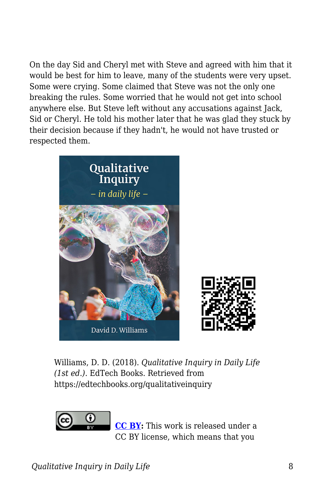On the day Sid and Cheryl met with Steve and agreed with him that it would be best for him to leave, many of the students were very upset. Some were crying. Some claimed that Steve was not the only one breaking the rules. Some worried that he would not get into school anywhere else. But Steve left without any accusations against Jack, Sid or Cheryl. He told his mother later that he was glad they stuck by their decision because if they hadn't, he would not have trusted or respected them.



Williams, D. D. (2018). *Qualitative Inquiry in Daily Life (1st ed.)*. EdTech Books. Retrieved from https://edtechbooks.org/qualitativeinquiry



**[CC BY:](https://creativecommons.org/licenses/by/4.0)** This work is released under a CC BY license, which means that you